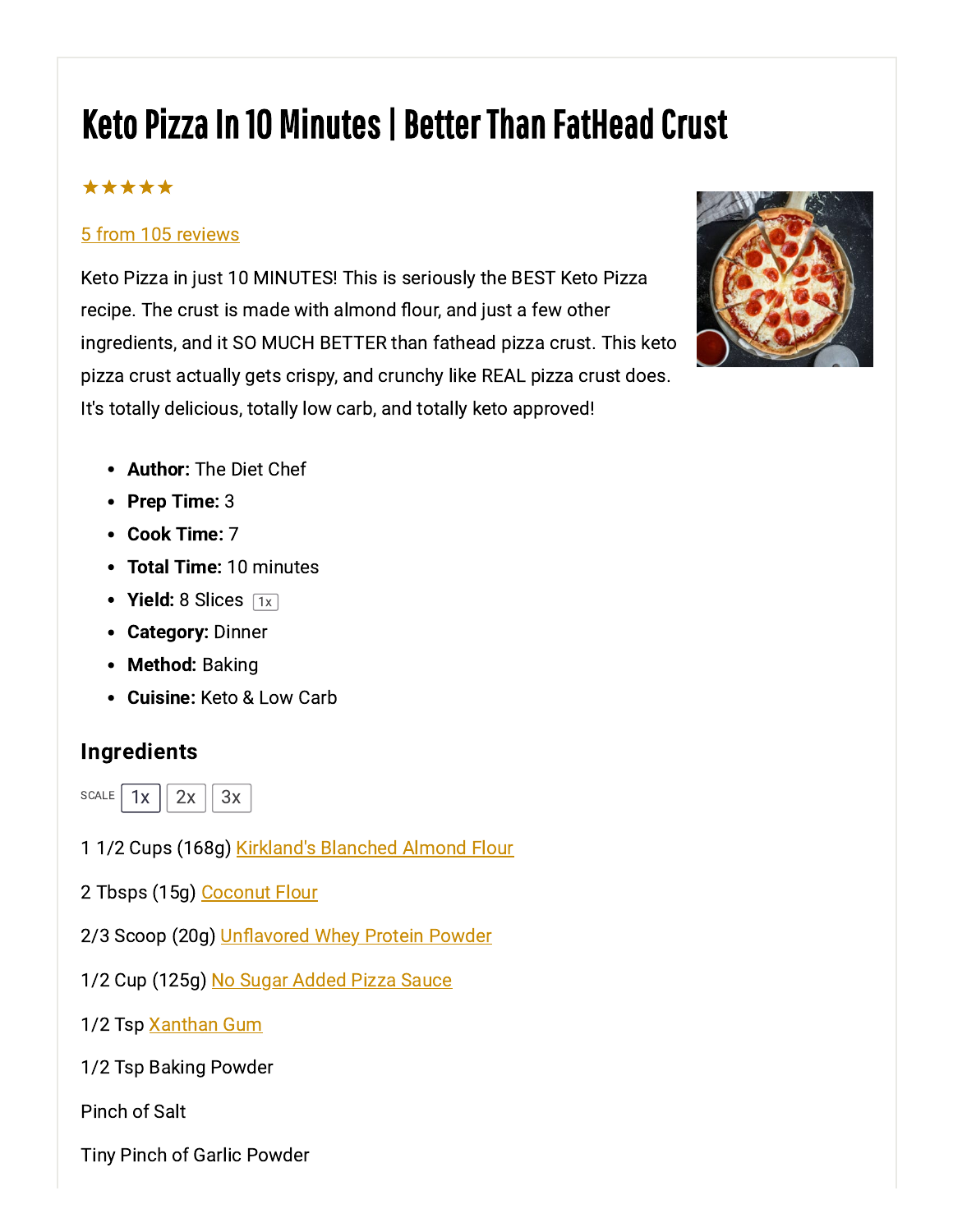# Keto Pizza In 10 Minutes | Better Than FatHead Crust

### \*\*\*\*\*

#### 5 from 105 reviews

Keto Pizza in just 10 MINUTES! This is seriously the BEST Keto Pizza recipe. The crust is made with almond flour, and just a few other ingredients, and it SO MUCH BETTER than fathead pizza crust. This keto pizza crust actually gets crispy, and crunchy like REAL pizza crust does. It's totally delicious, totally low carb, and totally keto approved!



- Author: The Diet Chef
- Prep Time: 3
- Cook Time: 7
- Total Time: 10 minutes  $\bullet$
- Yield: 8 Slices  $\boxed{1x}$
- Category: Dinner
- Method: Baking
- Cuisine: Keto & Low Carb

#### Ingredients



- 1 1/2 Cups (168g) [Kirkland's](https://amzn.to/2OGwOx8) Blanched Almond Flour
- 2 Tbsps (15g) [Coconut](https://amzn.to/2FY4t1l) Flour
- 2/3 Scoop (20g) [Unflavored](https://amzn.to/2P0NVJZ) Whey Protein Powder
- 1/2 Cup (125g) No Sugar [Added](https://amzn.to/2VxssuC) Pizza Sauce
- 1/2 Tsp [Xanthan](https://amzn.to/2G1PaV7) Gum
- 1/2 Tsp Baking Powder

Pinch of Salt

Tiny Pinch of Garlic Powder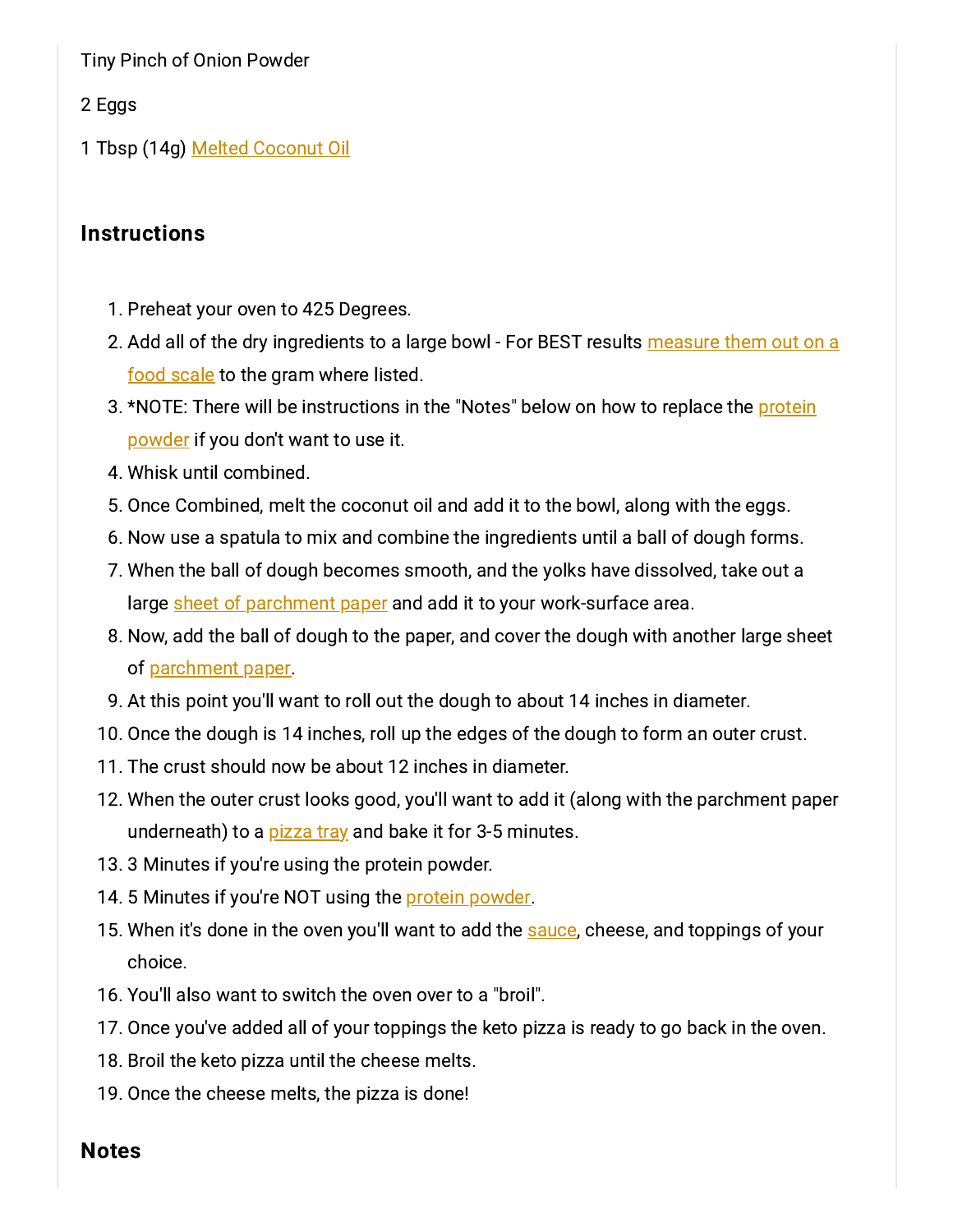Tiny Pinch of Onion Powder

2 Eggs

1 Tbsp (14g) Melted [Coconut](https://amzn.to/2GDb5SE) Oil

#### **Instructions**

- 1. Preheat your oven to 425 Degrees.
- 2. Add all of the dry [ingredients](https://amzn.to/2stDBTb) to a large bowl For BEST results measure them out on a food scale to the gram where listed.
- 3. \*NOTE: There will be [instructions](https://amzn.to/2P0NVJZ) in the "Notes" below on how to replace the protein powder if you don't want to use it.
- 4. Whisk until combined.
- 5. Once Combined, melt the coconut oil and add it to the bowl, along with the eggs.
- . Now use a spatula to mix and combine the ingredients until a ball of dough forms.
- 7. When the ball of dough becomes smooth, and the yolks have dissolved, take out a large sheet of [parchment](https://amzn.to/2IgWtfk) paper and add it to your work-surface area.
- . Now, add the ball of dough to the paper, and cover the dough with another large sheet of [parchment](https://amzn.to/2IgWtfk) paper.
- 9. At this point you'll want to roll out the dough to about 14 inches in diameter.
- 10. Once the dough is 14 inches, roll up the edges of the dough to form an outer crust.
- 11. The crust should now be about 12 inches in diameter.
- 12. When the outer crust looks good, you'll want to add it (along with the parchment paper underneath) to a [pizza](https://amzn.to/2DflYd1) tray and bake it for 3-5 minutes.
- 13. 3 Minutes if you're using the protein powder.
- 14. 5 Minutes if you're NOT using the protein [powder.](https://amzn.to/2P0NVJZ)
- 15. When it's done in the oven you'll want to add the [sauce](https://amzn.to/2VxssuC), cheese, and toppings of your choice.
- 16. You'll also want to switch the oven over to a "broil".
- 17. Once you've added all of your toppings the keto pizza is ready to go back in the oven.
- 18. Broil the keto pizza until the cheese melts.
- 19. Once the cheese melts, the pizza is done!

#### Notes